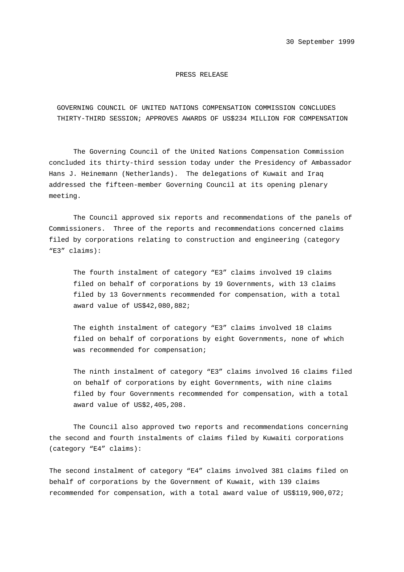## PRESS RELEASE

 GOVERNING COUNCIL OF UNITED NATIONS COMPENSATION COMMISSION CONCLUDES THIRTY-THIRD SESSION; APPROVES AWARDS OF US\$234 MILLION FOR COMPENSATION

The Governing Council of the United Nations Compensation Commission concluded its thirty-third session today under the Presidency of Ambassador Hans J. Heinemann (Netherlands). The delegations of Kuwait and Iraq addressed the fifteen-member Governing Council at its opening plenary meeting.

The Council approved six reports and recommendations of the panels of Commissioners. Three of the reports and recommendations concerned claims filed by corporations relating to construction and engineering (category "E3" claims):

The fourth instalment of category "E3" claims involved 19 claims filed on behalf of corporations by 19 Governments, with 13 claims filed by 13 Governments recommended for compensation, with a total award value of US\$42,080,882;

The eighth instalment of category "E3" claims involved 18 claims filed on behalf of corporations by eight Governments, none of which was recommended for compensation;

The ninth instalment of category "E3" claims involved 16 claims filed on behalf of corporations by eight Governments, with nine claims filed by four Governments recommended for compensation, with a total award value of US\$2,405,208.

The Council also approved two reports and recommendations concerning the second and fourth instalments of claims filed by Kuwaiti corporations (category "E4" claims):

The second instalment of category "E4" claims involved 381 claims filed on behalf of corporations by the Government of Kuwait, with 139 claims recommended for compensation, with a total award value of US\$119,900,072;